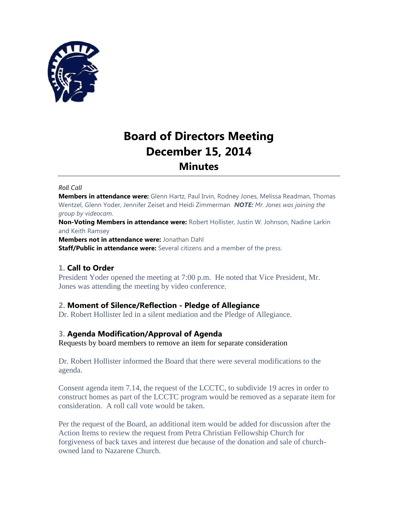

# **Board of Directors Meeting December 15, 2014 Minutes**

### *Roll Call*

**Members in attendance were:** Glenn Hartz, Paul Irvin, Rodney Jones, Melissa Readman, Thomas Wentzel, Glenn Yoder, Jennifer Zeiset and Heidi Zimmerman *NOTE: Mr. Jones was joining the group by videocam.*

**Non-Voting Members in attendance were:** Robert Hollister, Justin W. Johnson, Nadine Larkin and Keith Ramsey

**Members not in attendance were:** Jonathan Dahl

**Staff/Public in attendance were:** Several citizens and a member of the press.

# **1. Call to Order**

President Yoder opened the meeting at 7:00 p.m. He noted that Vice President, Mr. Jones was attending the meeting by video conference.

# **2. Moment of Silence/Reflection - Pledge of Allegiance**

Dr. Robert Hollister led in a silent mediation and the Pledge of Allegiance.

# **3. Agenda Modification/Approval of Agenda**

Requests by board members to remove an item for separate consideration

Dr. Robert Hollister informed the Board that there were several modifications to the agenda.

Consent agenda item 7.14, the request of the LCCTC, to subdivide 19 acres in order to construct homes as part of the LCCTC program would be removed as a separate item for consideration. A roll call vote would be taken.

Per the request of the Board, an additional item would be added for discussion after the Action Items to review the request from Petra Christian Fellowship Church for forgiveness of back taxes and interest due because of the donation and sale of churchowned land to Nazarene Church.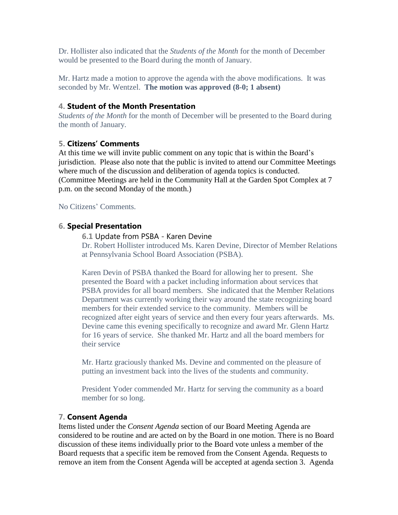Dr. Hollister also indicated that the *Students of the Month* for the month of December would be presented to the Board during the month of January.

Mr. Hartz made a motion to approve the agenda with the above modifications. It was seconded by Mr. Wentzel. **The motion was approved (8-0; 1 absent)**

# **4. Student of the Month Presentation**

*Students of the Month* for the month of December will be presented to the Board during the month of January.

# **5. Citizens' Comments**

At this time we will invite public comment on any topic that is within the Board's jurisdiction. Please also note that the public is invited to attend our Committee Meetings where much of the discussion and deliberation of agenda topics is conducted. (Committee Meetings are held in the Community Hall at the Garden Spot Complex at 7 p.m. on the second Monday of the month.)

No Citizens' Comments.

## **6. Special Presentation**

**6.1** Update from PSBA - Karen Devine

Dr. Robert Hollister introduced Ms. Karen Devine, Director of Member Relations at Pennsylvania School Board Association (PSBA).

Karen Devin of PSBA thanked the Board for allowing her to present. She presented the Board with a packet including information about services that PSBA provides for all board members. She indicated that the Member Relations Department was currently working their way around the state recognizing board members for their extended service to the community. Members will be recognized after eight years of service and then every four years afterwards. Ms. Devine came this evening specifically to recognize and award Mr. Glenn Hartz for 16 years of service. She thanked Mr. Hartz and all the board members for their service

Mr. Hartz graciously thanked Ms. Devine and commented on the pleasure of putting an investment back into the lives of the students and community.

President Yoder commended Mr. Hartz for serving the community as a board member for so long.

# **7. Consent Agenda**

Items listed under the *Consent Agenda* section of our Board Meeting Agenda are considered to be routine and are acted on by the Board in one motion. There is no Board discussion of these items individually prior to the Board vote unless a member of the Board requests that a specific item be removed from the Consent Agenda. Requests to remove an item from the Consent Agenda will be accepted at agenda section 3. Agenda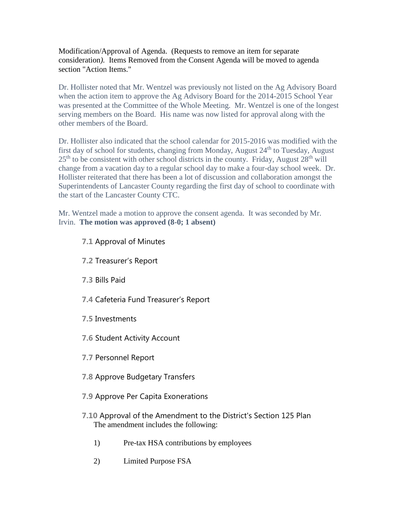Modification/Approval of Agenda. (Requests to remove an item for separate consideration*).* Items Removed from the Consent Agenda will be moved to agenda section "Action Items."

Dr. Hollister noted that Mr. Wentzel was previously not listed on the Ag Advisory Board when the action item to approve the Ag Advisory Board for the 2014-2015 School Year was presented at the Committee of the Whole Meeting. Mr. Wentzel is one of the longest serving members on the Board. His name was now listed for approval along with the other members of the Board.

Dr. Hollister also indicated that the school calendar for 2015-2016 was modified with the first day of school for students, changing from Monday, August  $24<sup>th</sup>$  to Tuesday, August  $25<sup>th</sup>$  to be consistent with other school districts in the county. Friday, August  $28<sup>th</sup>$  will change from a vacation day to a regular school day to make a four-day school week. Dr. Hollister reiterated that there has been a lot of discussion and collaboration amongst the Superintendents of Lancaster County regarding the first day of school to coordinate with the start of the Lancaster County CTC.

Mr. Wentzel made a motion to approve the consent agenda. It was seconded by Mr. Irvin. **The motion was approved (8-0; 1 absent)**

**7.1** Approval of Minutes

**7.2** Treasurer's Report

**7.3** Bills Paid

**7.4** Cafeteria Fund Treasurer's Report

**7.5** Investments

**7.6** Student Activity Account

**7.7** Personnel Report

**7.8** Approve Budgetary Transfers

**7.9** Approve Per Capita Exonerations

**7.10** Approval of the Amendment to the District's Section 125 Plan The amendment includes the following:

1) Pre-tax HSA contributions by employees

2) Limited Purpose FSA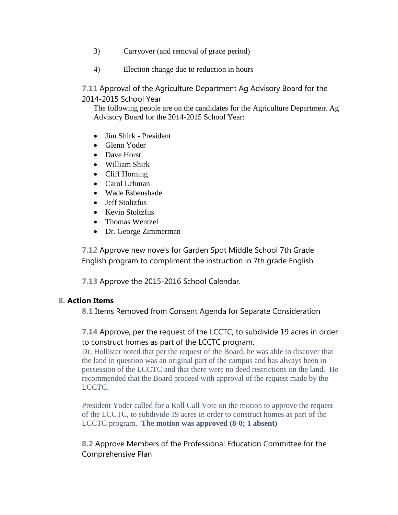- 3) Carryover (and removal of grace period)
- 4) Election change due to reduction in hours

**7.11** Approval of the Agriculture Department Ag Advisory Board for the 2014-2015 School Year

The following people are on the candidates for the Agriculture Department Ag Advisory Board for the 2014-2015 School Year:

- Jim Shirk President
- Glenn Yoder
- Dave Horst
- William Shirk
- Cliff Horning
- Carol Lehman
- Wade Esbenshade
- Jeff Stoltzfus
- Kevin Stoltzfus
- Thomas Wentzel
- Dr. George Zimmerman

**7.12** Approve new novels for Garden Spot Middle School 7th Grade English program to compliment the instruction in 7th grade English.

**7.13** Approve the 2015-2016 School Calendar.

# **8. Action Items**

**8.1** Items Removed from Consent Agenda for Separate Consideration

# **7.14** Approve, per the request of the LCCTC, to subdivide 19 acres in order to construct homes as part of the LCCTC program.

Dr. Hollister noted that per the request of the Board, he was able to discover that the land in question was an original part of the campus and has always been in possession of the LCCTC and that there were no deed restrictions on the land. He recommended that the Board proceed with approval of the request made by the LCCTC.

President Yoder called for a Roll Call Vote on the motion to approve the request of the LCCTC, to subdivide 19 acres in order to construct homes as part of the LCCTC program. **The motion was approved (8-0; 1 absent)**

**8.2** Approve Members of the Professional Education Committee for the Comprehensive Plan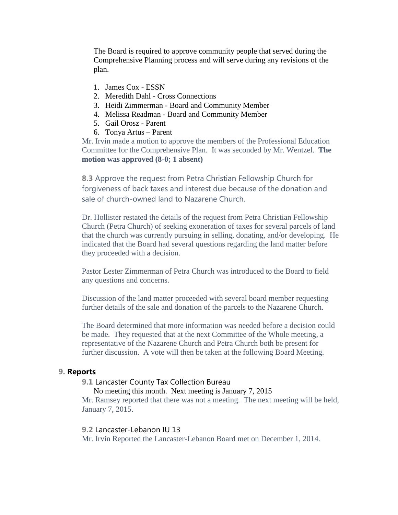The Board is required to approve community people that served during the Comprehensive Planning process and will serve during any revisions of the plan.

- 1. James Cox ESSN
- 2. Meredith Dahl Cross Connections
- 3. Heidi Zimmerman Board and Community Member
- 4. Melissa Readman Board and Community Member
- 5. Gail Orosz Parent
- 6. Tonya Artus Parent

Mr. Irvin made a motion to approve the members of the Professional Education Committee for the Comprehensive Plan. It was seconded by Mr. Wentzel. **The motion was approved (8-0; 1 absent)**

**8.3** Approve the request from Petra Christian Fellowship Church for forgiveness of back taxes and interest due because of the donation and sale of church-owned land to Nazarene Church.

Dr. Hollister restated the details of the request from Petra Christian Fellowship Church (Petra Church) of seeking exoneration of taxes for several parcels of land that the church was currently pursuing in selling, donating, and/or developing. He indicated that the Board had several questions regarding the land matter before they proceeded with a decision.

Pastor Lester Zimmerman of Petra Church was introduced to the Board to field any questions and concerns.

Discussion of the land matter proceeded with several board member requesting further details of the sale and donation of the parcels to the Nazarene Church.

The Board determined that more information was needed before a decision could be made. They requested that at the next Committee of the Whole meeting, a representative of the Nazarene Church and Petra Church both be present for further discussion. A vote will then be taken at the following Board Meeting.

### **9. Reports**

### **9.1** Lancaster County Tax Collection Bureau

No meeting this month. Next meeting is January 7, 2015

Mr. Ramsey reported that there was not a meeting. The next meeting will be held, January 7, 2015.

### **9.2** Lancaster-Lebanon IU 13

Mr. Irvin Reported the Lancaster-Lebanon Board met on December 1, 2014.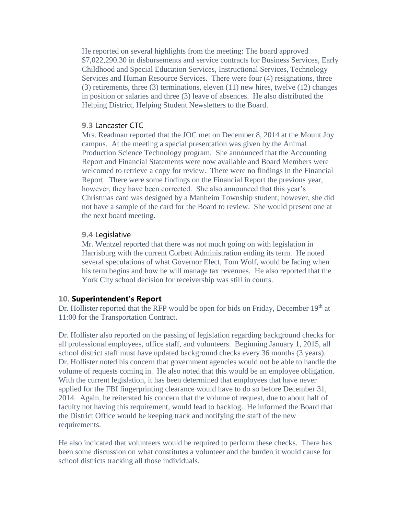He reported on several highlights from the meeting: The board approved \$7,022,290.30 in disbursements and service contracts for Business Services, Early Childhood and Special Education Services, Instructional Services, Technology Services and Human Resource Services. There were four (4) resignations, three (3) retirements, three (3) terminations, eleven (11) new hires, twelve (12) changes in position or salaries and three (3) leave of absences. He also distributed the Helping District, Helping Student Newsletters to the Board.

### **9.3** Lancaster CTC

Mrs. Readman reported that the JOC met on December 8, 2014 at the Mount Joy campus. At the meeting a special presentation was given by the Animal Production Science Technology program. She announced that the Accounting Report and Financial Statements were now available and Board Members were welcomed to retrieve a copy for review. There were no findings in the Financial Report. There were some findings on the Financial Report the previous year, however, they have been corrected. She also announced that this year's Christmas card was designed by a Manheim Township student, however, she did not have a sample of the card for the Board to review. She would present one at the next board meeting.

### **9.4** Legislative

Mr. Wentzel reported that there was not much going on with legislation in Harrisburg with the current Corbett Administration ending its term. He noted several speculations of what Governor Elect, Tom Wolf, would be facing when his term begins and how he will manage tax revenues. He also reported that the York City school decision for receivership was still in courts.

### **10. Superintendent's Report**

Dr. Hollister reported that the RFP would be open for bids on Friday, December 19th at 11:00 for the Transportation Contract.

Dr. Hollister also reported on the passing of legislation regarding background checks for all professional employees, office staff, and volunteers. Beginning January 1, 2015, all school district staff must have updated background checks every 36 months (3 years). Dr. Hollister noted his concern that government agencies would not be able to handle the volume of requests coming in. He also noted that this would be an employee obligation. With the current legislation, it has been determined that employees that have never applied for the FBI fingerprinting clearance would have to do so before December 31, 2014. Again, he reiterated his concern that the volume of request, due to about half of faculty not having this requirement, would lead to backlog. He informed the Board that the District Office would be keeping track and notifying the staff of the new requirements.

He also indicated that volunteers would be required to perform these checks. There has been some discussion on what constitutes a volunteer and the burden it would cause for school districts tracking all those individuals.